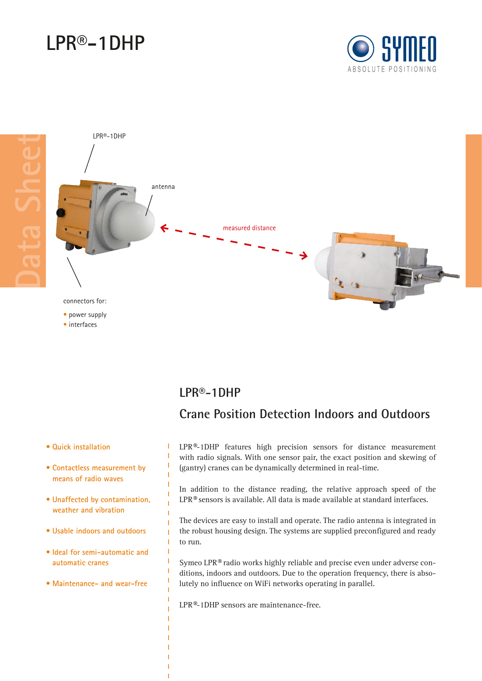# **LPR®-1DHP**





#### **LPR®-1DHP**

### **• Quick installation**

• interfaces

- **• Contactless measurement by means of radio waves**
- **• Unaffected by contamination, weather and vibration**
- **• Usable indoors and outdoors**
- **• Ideal for semi-automatic and automatic cranes**
- **• Maintenance- and wear-free**

## **Crane Position Detection Indoors and Outdoors**

LPR®-1DHP features high precision sensors for distance measurement with radio signals. With one sensor pair, the exact position and skewing of (gantry) cranes can be dynamically determined in real-time.

In addition to the distance reading, the relative approach speed of the LPR® sensors is available. All data is made available at standard interfaces.

The devices are easy to install and operate. The radio antenna is integrated in the robust housing design. The systems are supplied preconfigured and ready to run.

Symeo LPR® radio works highly reliable and precise even under adverse conditions, indoors and outdoors. Due to the operation frequency, there is absolutely no influence on WiFi networks operating in parallel.

LPR®-1DHP sensors are maintenance-free.